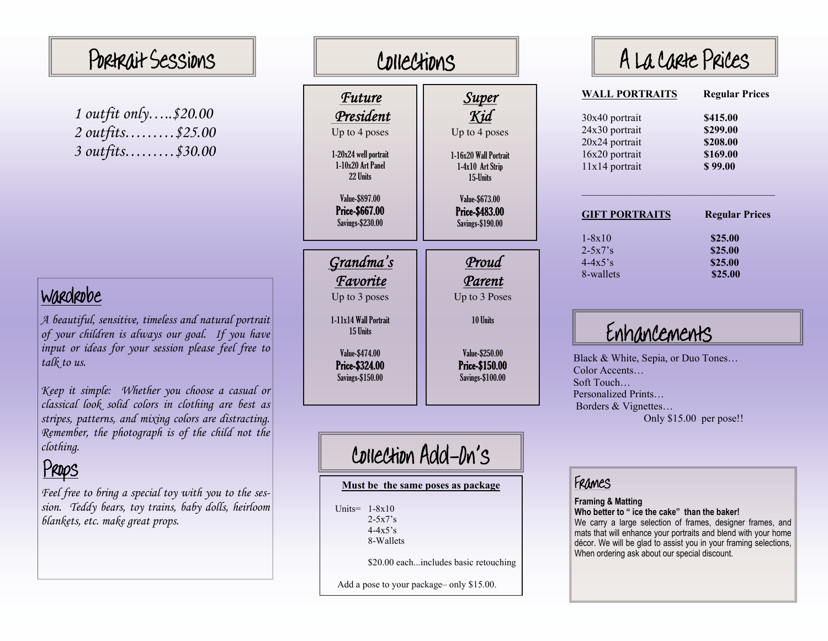# Portrait Sessions  $\|\hspace{-.05in} \|$  Collection

| 1 outfit only\$20.00                            |  |
|-------------------------------------------------|--|
| 2 outfits\$25.00                                |  |
| $3 \text{ outfits.} \dots \dots \text{ $30.00}$ |  |

### Wardrobe

*A beautiful, sensitive, timeless and natural portrait of your children is always our goal. If you have input or ideas for your session please feel free to talk to us.* 

*Keep it simple: Whether you choose a casual or classical look solid colors in clothing are best as stripes, patterns, and mixing colors are distracting. Remember, the photograph is of the child not the clothing.* 

# Props

*Feel free to bring a special toy with you to the session. Teddy bears, toy trains, baby dolls, heirloom blankets, etc. make great props.* 

| CDIIECXIDNS                                                 |                                                             |
|-------------------------------------------------------------|-------------------------------------------------------------|
| <b>Future</b>                                               | <u>Super</u><br>Kid                                         |
| President<br>Up to 4 poses                                  | Up to 4 poses                                               |
| 1-20x24 well portrait<br>1-10x20 Art Panel<br>22 Units      | 1-16x20 Wall Portrait<br>1-4x10 Art Strip<br>15-Ilnits      |
| Value-\$897.00<br>Price-\$667.00<br><b>Savings-\$230.00</b> | Value-\$673.00<br>Price-\$483.00<br><b>Savings-\$190.00</b> |
|                                                             |                                                             |
| <u>Grandma's</u>                                            | Proud                                                       |
| <b>Favorite</b>                                             | Parent                                                      |
| Up to 3 poses                                               | Up to 3 Poses                                               |
| 1-11x14 Wall Portrait<br>15 Units                           | 10 Units                                                    |
| Value-\$474.00                                              | Value-\$250.00                                              |
| Price-\$324.00                                              | Price-\$150.00                                              |
| <b>Savings-\$150.00</b>                                     | <b>Savings-\$100.00</b>                                     |
|                                                             |                                                             |

## Collection Add-On's

#### **Must be the same poses as package**

 Units= 1-8x10  $2 - 5x7$ 's 4-4x5's8-Wallets

\$20.00 each...includes basic retouching

Add a pose to your package– only \$15.00.

| A La Carte Prices     |                       |  |
|-----------------------|-----------------------|--|
| <b>WALL PORTRAITS</b> | <b>Regular Prices</b> |  |
| 30x40 portrait        | \$415.00              |  |
| 24x30 portrait        | \$299.00              |  |
| 20x24 portrait        | \$208.00              |  |
| 16x20 portrait        | \$169.00              |  |
| 11x14 portrait        | \$99.00               |  |
| <b>GIFT PORTRAITS</b> | <b>Regular Prices</b> |  |
| $1 - 8x10$            | \$25.00               |  |
| $2 - 5x7$ 's          | \$25.00               |  |
| $4 - 4x5$ 's          | \$25.00               |  |
| 8-wallets             | \$25.00               |  |

Enhancements

Black & White, Sepia, or Duo Tones... Color Accents… Soft Touch… Personalized Prints… Borders & Vignettes… Only \$15.00 per pose!!

#### Fram es

**Framing & Matting**

**Who better to " ice the cake" than the baker!** 

We carry a large selection of fra mes, designer fra mes, and mats that will enhance your portraits and blend with your home décor. We will be glad to assist you in your framing selections, When ordering ask about our special discount.